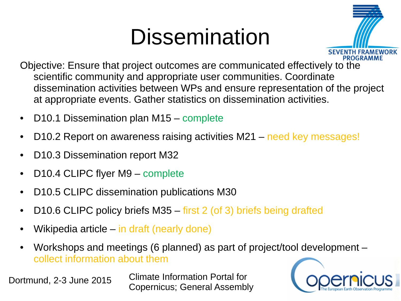#### **Dissemination**



- Objective: Ensure that project outcomes are communicated effectively to the scientific community and appropriate user communities. Coordinate dissemination activities between WPs and ensure representation of the project at appropriate events. Gather statistics on dissemination activities.
- D10.1 Dissemination plan M15 complete
- D10.2 Report on awareness raising activities M21 need key messages!
- D10.3 Dissemination report M32
- D10.4 CLIPC flyer M9 complete
- D10.5 CLIPC dissemination publications M30
- D10.6 CLIPC policy briefs M35 first 2 (of 3) briefs being drafted
- Wikipedia article in draft (nearly done)
- Workshops and meetings (6 planned) as part of project/tool development collect information about them

Dortmund, 2-3 June 2015 Climate Information Portal for Copernicus; General Assembly

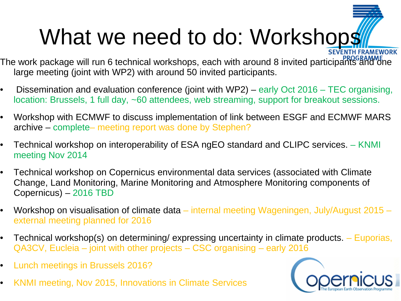# What we need to do: Workshops

- The work package will run 6 technical workshops, each with around 8 invited participants and one large meeting (joint with WP2) with around 50 invited participants.
- Dissemination and evaluation conference (joint with WP2) early Oct 2016 TEC organising, location: Brussels, 1 full day, ~60 attendees, web streaming, support for breakout sessions.
- Workshop with ECMWF to discuss implementation of link between ESGF and ECMWF MARS archive – complete– meeting report was done by Stephen?
- Technical workshop on interoperability of ESA ngEO standard and CLIPC services. KNMI meeting Nov 2014
- Technical workshop on Copernicus environmental data services (associated with Climate Change, Land Monitoring, Marine Monitoring and Atmosphere Monitoring components of Copernicus) – 2016 TBD
- Workshop on visualisation of climate data internal meeting Wageningen, July/August 2015 external meeting planned for 2016
- Technical workshop(s) on determining/ expressing uncertainty in climate products. Euporias, QA3CV, Eucleia – joint with other projects – CSC organising – early 2016
- Lunch meetings in Brussels 2016?
- KNMI meeting, Nov 2015, Innovations in Climate Services

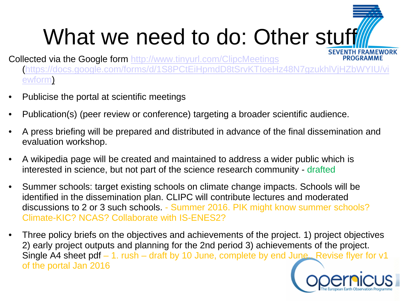# What we need to do: Other stuff

Collected via the Google form <http://www.tinyurl.com/ClipcMeetings> **PROGRAMME** ([https://docs.google.com/forms/d/1S8PCtEiHpmdD8tSrvKTIoeHz48N7gzukhlVjHZbWYIU/vi](https://docs.google.com/forms/d/1S8PCtEiHpmdD8tSrvKTIoeHz48N7gzukhlVjHZbWYIU/viewform) [ewform\)](https://docs.google.com/forms/d/1S8PCtEiHpmdD8tSrvKTIoeHz48N7gzukhlVjHZbWYIU/viewform)

- Publicise the portal at scientific meetings
- Publication(s) (peer review or conference) targeting a broader scientific audience.
- A press briefing will be prepared and distributed in advance of the final dissemination and evaluation workshop.
- A wikipedia page will be created and maintained to address a wider public which is interested in science, but not part of the science research community - drafted
- Summer schools: target existing schools on climate change impacts. Schools will be identified in the dissemination plan. CLIPC will contribute lectures and moderated discussions to 2 or 3 such schools. - Summer 2016. PIK might know summer schools? Climate-KIC? NCAS? Collaborate with IS-ENES2?
- Three policy briefs on the objectives and achievements of the project. 1) project objectives 2) early project outputs and planning for the 2nd period 3) achievements of the project. Single A4 sheet pdf – 1. rush – draft by 10 June, complete by end June.. Revise flyer for v1 of the portal Jan 2016

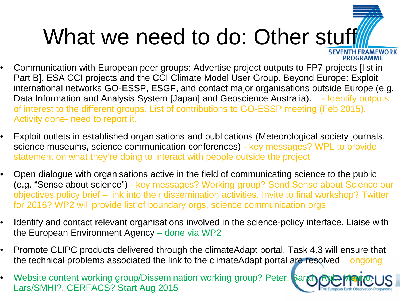# What we need to do: Other stuff

**PROGRAMME** 

- Communication with European peer groups: Advertise project outputs to FP7 projects [list in Part B], ESA CCI projects and the CCI Climate Model User Group. Beyond Europe: Exploit international networks GO-ESSP, ESGF, and contact major organisations outside Europe (e.g. Data Information and Analysis System [Japan] and Geoscience Australia). - Identify outputs of interest to the different groups. List of contributions to GO-ESSP meeting (Feb 2015). Activity done- need to report it.
- Exploit outlets in established organisations and publications (Meteorological society journals, science museums, science communication conferences) - key messages? WPL to provide statement on what they're doing to interact with people outside the project
- Open dialogue with organisations active in the field of communicating science to the public (e.g. "Sense about science") - key messages? Working group? Send Sense about Science our objectives policy brief – link into their dissemination activities. Invite to final workshop? Twitter for 2016? WP2 will provide list of boundary orgs, science communication orgs
- Identify and contact relevant organisations involved in the science-policy interface. Liaise with the European Environment Agency – done via WP2
- Promote CLIPC products delivered through the climateAdapt portal. Task 4.3 will ensure that the technical problems associated the link to the climateAdapt portal are resolved – ongoing
- Website content working group/Dissemination working group? Peter, Sara Lars/SMHI?, CERFACS? Start Aug 2015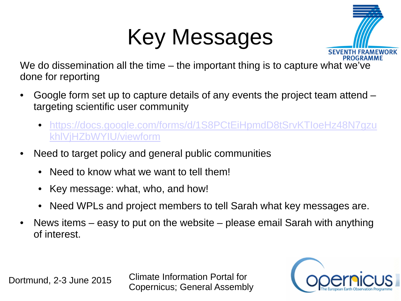### Key Messages



We do dissemination all the time – the important thing is to capture what we've done for reporting

- Google form set up to capture details of any events the project team attend targeting scientific user community
	- [https://docs.google.com/forms/d/1S8PCtEiHpmdD8tSrvKTIoeHz48N7gzu](https://docs.google.com/forms/d/1S8PCtEiHpmdD8tSrvKTIoeHz48N7gzukhlVjHZbWYIU/viewform) [khlVjHZbWYIU/viewform](https://docs.google.com/forms/d/1S8PCtEiHpmdD8tSrvKTIoeHz48N7gzukhlVjHZbWYIU/viewform)
- Need to target policy and general public communities
	- Need to know what we want to tell them!
	- Key message: what, who, and how!
	- Need WPLs and project members to tell Sarah what key messages are.
- News items easy to put on the website please email Sarah with anything of interest.

Dortmund, 2-3 June 2015 Climate Information Portal for Copernicus; General Assembly

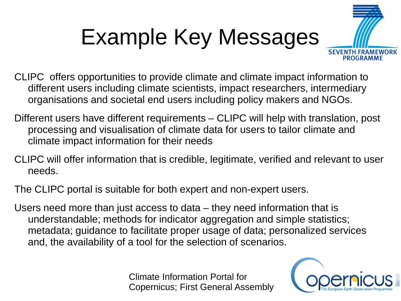# Example Key Messages



CLIPC offers opportunities to provide climate and climate impact information to different users including climate scientists, impact researchers, intermediary organisations and societal end users including policy makers and NGOs.

- Different users have different requirements CLIPC will help with translation, post processing and visualisation of climate data for users to tailor climate and climate impact information for their needs
- CLIPC will offer information that is credible, legitimate, verified and relevant to user needs.
- The CLIPC portal is suitable for both expert and non-expert users.
- Users need more than just access to data they need information that is understandable; methods for indicator aggregation and simple statistics; metadata; guidance to facilitate proper usage of data; personalized services and, the availability of a tool for the selection of scenarios.

Climate Information Portal for Copernicus; First General Assembly